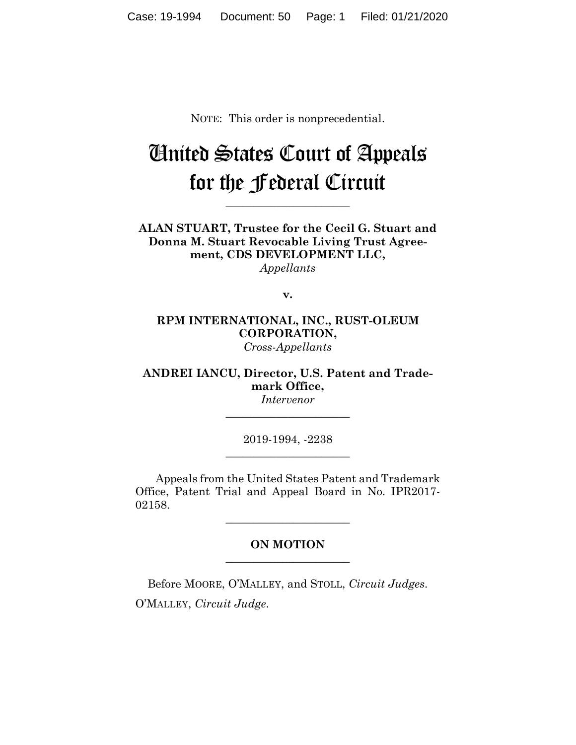NOTE: This order is nonprecedential.

## United States Court of Appeals for the Federal Circuit

**\_\_\_\_\_\_\_\_\_\_\_\_\_\_\_\_\_\_\_\_\_\_**

**ALAN STUART, Trustee for the Cecil G. Stuart and Donna M. Stuart Revocable Living Trust Agreement, CDS DEVELOPMENT LLC,** *Appellants*

**v.**

## **RPM INTERNATIONAL, INC., RUST-OLEUM CORPORATION,** *Cross-Appellants*

**ANDREI IANCU, Director, U.S. Patent and Trademark Office,** *Intervenor*

> 2019-1994, -2238 **\_\_\_\_\_\_\_\_\_\_\_\_\_\_\_\_\_\_\_\_\_\_**

> **\_\_\_\_\_\_\_\_\_\_\_\_\_\_\_\_\_\_\_\_\_\_**

Appeals from the United States Patent and Trademark Office, Patent Trial and Appeal Board in No. IPR2017- 02158.

**\_\_\_\_\_\_\_\_\_\_\_\_\_\_\_\_\_\_\_\_\_\_**

## **ON MOTION \_\_\_\_\_\_\_\_\_\_\_\_\_\_\_\_\_\_\_\_\_\_**

Before MOORE, O'MALLEY, and STOLL, *Circuit Judges*. O'MALLEY, *Circuit Judge*.